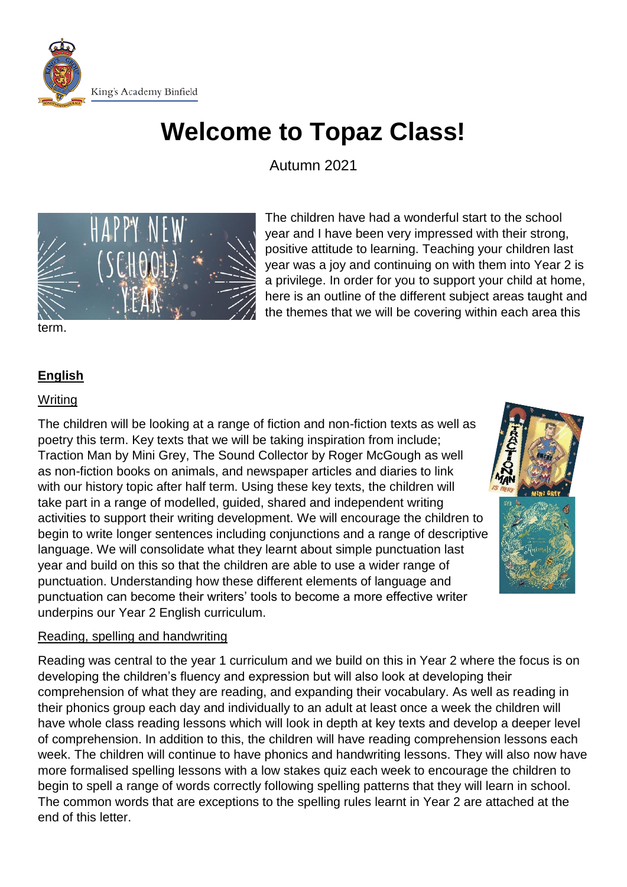

# **Welcome to Topaz Class!**

Autumn 2021



The children have had a wonderful start to the school year and I have been very impressed with their strong, positive attitude to learning. Teaching your children last year was a joy and continuing on with them into Year 2 is a privilege. In order for you to support your child at home, here is an outline of the different subject areas taught and the themes that we will be covering within each area this

term.

# **English**

## **Writing**

The children will be looking at a range of fiction and non-fiction texts as well as poetry this term. Key texts that we will be taking inspiration from include; Traction Man by Mini Grey, The Sound Collector by Roger McGough as well as non-fiction books on animals, and newspaper articles and diaries to link with our history topic after half term. Using these key texts, the children will take part in a range of modelled, guided, shared and independent writing activities to support their writing development. We will encourage the children to begin to write longer sentences including conjunctions and a range of descriptive language. We will consolidate what they learnt about simple punctuation last year and build on this so that the children are able to use a wider range of punctuation. Understanding how these different elements of language and punctuation can become their writers' tools to become a more effective writer underpins our Year 2 English curriculum.



# Reading, spelling and handwriting

Reading was central to the year 1 curriculum and we build on this in Year 2 where the focus is on developing the children's fluency and expression but will also look at developing their comprehension of what they are reading, and expanding their vocabulary. As well as reading in their phonics group each day and individually to an adult at least once a week the children will have whole class reading lessons which will look in depth at key texts and develop a deeper level of comprehension. In addition to this, the children will have reading comprehension lessons each week. The children will continue to have phonics and handwriting lessons. They will also now have more formalised spelling lessons with a low stakes quiz each week to encourage the children to begin to spell a range of words correctly following spelling patterns that they will learn in school. The common words that are exceptions to the spelling rules learnt in Year 2 are attached at the end of this letter.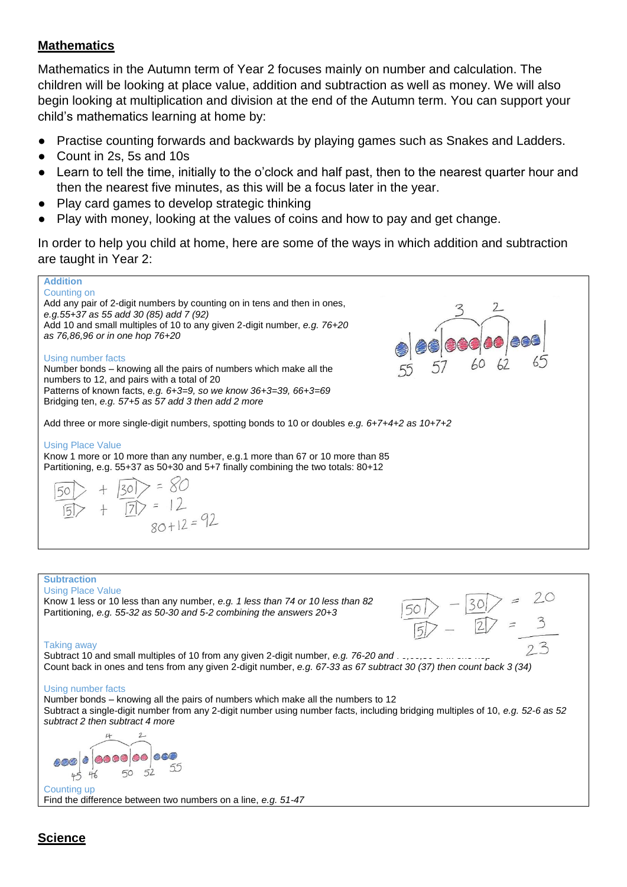## **Mathematics**

Mathematics in the Autumn term of Year 2 focuses mainly on number and calculation. The children will be looking at place value, addition and subtraction as well as money. We will also begin looking at multiplication and division at the end of the Autumn term. You can support your child's mathematics learning at home by:

- Practise counting forwards and backwards by playing games such as Snakes and Ladders.
- Count in 2s, 5s and 10s
- Learn to tell the time, initially to the o'clock and half past, then to the nearest quarter hour and then the nearest five minutes, as this will be a focus later in the year.
- Play card games to develop strategic thinking
- Play with money, looking at the values of coins and how to pay and get change.

In order to help you child at home, here are some of the ways in which addition and subtraction are taught in Year 2:

## **Addition** Counting on Add any pair of 2-digit numbers by counting on in tens and then in ones, *e.g.55+37 as 55 add 30 (85) add 7 (92)* Add 10 and small multiples of 10 to any given 2-digit number, *e.g. 76+20 as 76,86,96 or in one hop 76+20* Using number facts Number bonds – knowing all the pairs of numbers which make all the numbers to 12, and pairs with a total of 20 Patterns of known facts, *e.g. 6+3=9, so we know 36+3=39, 66+3=69* Bridging ten, *e.g. 57+5 as 57 add 3 then add 2 more* Add three or more single-digit numbers, spotting bonds to 10 or doubles *e.g. 6+7+4+2 as 10+7+2* Using Place Value Know 1 more or 10 more than any number, e.g.1 more than 67 or 10 more than 85 Partitioning, e.g. 55+37 as 50+30 and 5+7 finally combining the two totals: 80+12  $> 580$  $\frac{1}{|7|}$  = 12  $80+12=92$

#### **Subtraction**

Using Place Value

Know 1 less or 10 less than any number, *e.g. 1 less than 74 or 10 less than 82* Partitioning, *e.g. 55-32 as 50-30 and 5-2 combining the answers 20+3*



#### Taking away

Subtract 10 and small multiples of 10 from any given 2-digit number, *e.g. 76-20 and . J* Count back in ones and tens from any given 2-digit number, *e.g. 67-33 as 67 subtract 30 (37) then count back 3 (34)*

#### Using number facts

Number bonds – knowing all the pairs of numbers which make all the numbers to 12 Subtract a single-digit number from any 2-digit number using number facts, including bridging multiples of 10, *e.g. 52-6 as 52 subtract 2 then subtract 4 more*

 $\downarrow$  $2-$ 888 8 8888 88  $50$  $45$  $46$ Counting up

Find the difference between two numbers on a line, *e.g. 51-47*

# **Science**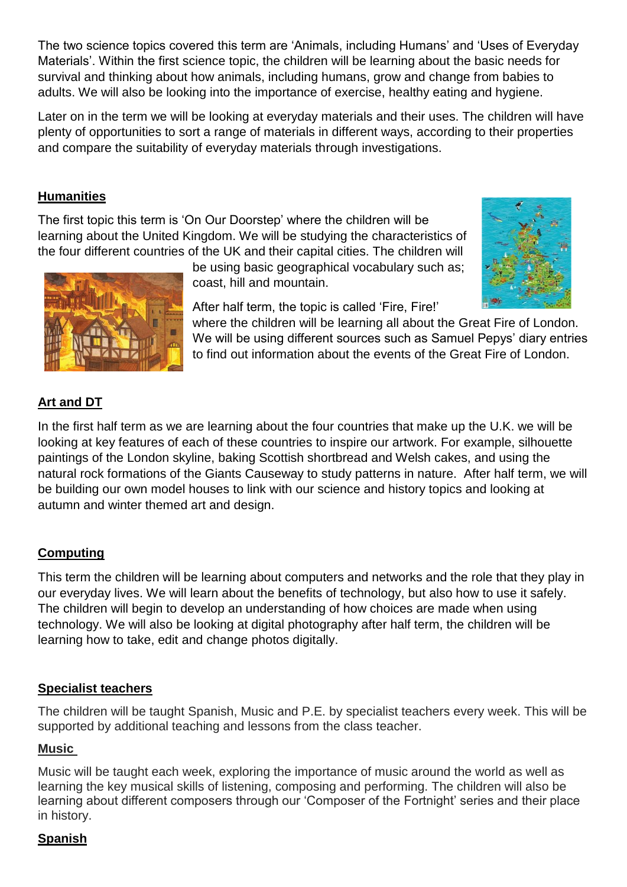The two science topics covered this term are 'Animals, including Humans' and 'Uses of Everyday Materials'. Within the first science topic, the children will be learning about the basic needs for survival and thinking about how animals, including humans, grow and change from babies to adults. We will also be looking into the importance of exercise, healthy eating and hygiene.

Later on in the term we will be looking at everyday materials and their uses. The children will have plenty of opportunities to sort a range of materials in different ways, according to their properties and compare the suitability of everyday materials through investigations.

# **Humanities**

The first topic this term is 'On Our Doorstep' where the children will be learning about the United Kingdom. We will be studying the characteristics of the four different countries of the UK and their capital cities. The children will



be using basic geographical vocabulary such as; coast, hill and mountain.

After half term, the topic is called 'Fire, Fire!'

where the children will be learning all about the Great Fire of London. We will be using different sources such as Samuel Pepys' diary entries to find out information about the events of the Great Fire of London.

# **Art and DT**

In the first half term as we are learning about the four countries that make up the U.K. we will be looking at key features of each of these countries to inspire our artwork. For example, silhouette paintings of the London skyline, baking Scottish shortbread and Welsh cakes, and using the natural rock formations of the Giants Causeway to study patterns in nature. After half term, we will be building our own model houses to link with our science and history topics and looking at autumn and winter themed art and design.

# **Computing**

This term the children will be learning about computers and networks and the role that they play in our everyday lives. We will learn about the benefits of technology, but also how to use it safely. The children will begin to develop an understanding of how choices are made when using technology. We will also be looking at digital photography after half term, the children will be learning how to take, edit and change photos digitally.

# **Specialist teachers**

The children will be taught Spanish, Music and P.E. by specialist teachers every week. This will be supported by additional teaching and lessons from the class teacher.

# **Music**

Music will be taught each week, exploring the importance of music around the world as well as learning the key musical skills of listening, composing and performing. The children will also be learning about different composers through our 'Composer of the Fortnight' series and their place in history.

# **Spanish**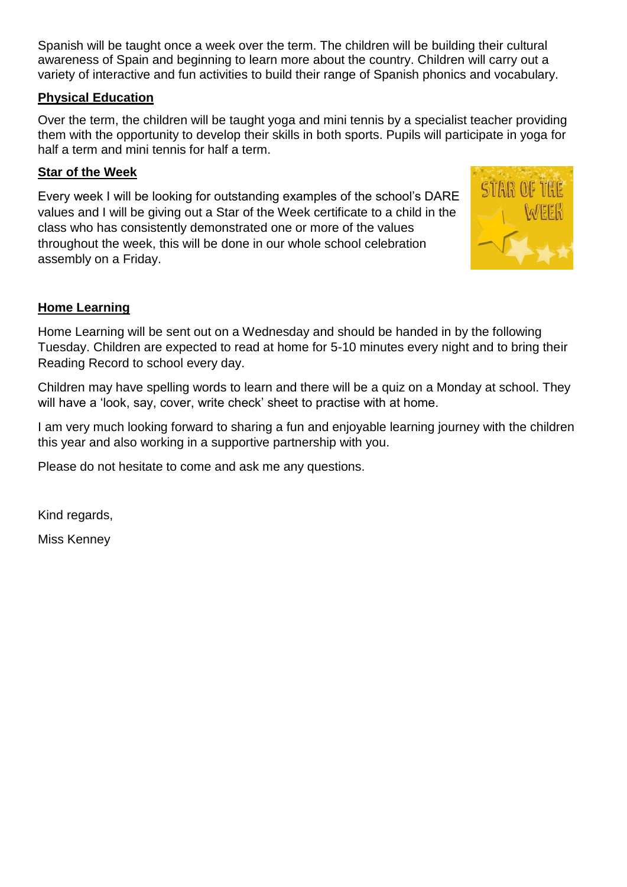Spanish will be taught once a week over the term. The children will be building their cultural awareness of Spain and beginning to learn more about the country. Children will carry out a variety of interactive and fun activities to build their range of Spanish phonics and vocabulary.

# **Physical Education**

Over the term, the children will be taught yoga and mini tennis by a specialist teacher providing them with the opportunity to develop their skills in both sports. Pupils will participate in yoga for half a term and mini tennis for half a term.

## **Star of the Week**

Every week I will be looking for outstanding examples of the school's DARE values and I will be giving out a Star of the Week certificate to a child in the class who has consistently demonstrated one or more of the values throughout the week, this will be done in our whole school celebration assembly on a Friday.



# **Home Learning**

Home Learning will be sent out on a Wednesday and should be handed in by the following Tuesday. Children are expected to read at home for 5-10 minutes every night and to bring their Reading Record to school every day.

Children may have spelling words to learn and there will be a quiz on a Monday at school. They will have a 'look, say, cover, write check' sheet to practise with at home.

I am very much looking forward to sharing a fun and enjoyable learning journey with the children this year and also working in a supportive partnership with you.

Please do not hesitate to come and ask me any questions.

Kind regards,

Miss Kenney